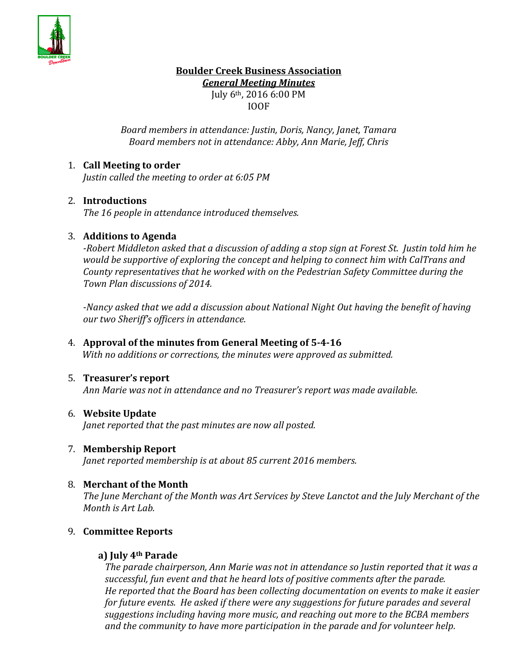

# **Boulder Creek Business Association** *General Meeting Minutes*

July 6th, 2016 6:00 PM IOOF

*Board members in attendance: Justin, Doris, Nancy, Janet, Tamara Board members not in attendance: Abby, Ann Marie, Jeff, Chris*

# 1. **Call Meeting to order**

*Justin called the meeting to order at 6:05 PM*

# 2. **Introductions**

*The 16 people in attendance introduced themselves.*

## 3. **Additions to Agenda**

*-Robert Middleton asked that a discussion of adding a stop sign at Forest St. Justin told him he would be supportive of exploring the concept and helping to connect him with CalTrans and County representatives that he worked with on the Pedestrian Safety Committee during the Town Plan discussions of 2014.* 

*-Nancy asked that we add a discussion about National Night Out having the benefit of having our two Sheriff's officers in attendance.*

4. **Approval of the minutes from General Meeting of 5-4-16** *With no additions or corrections, the minutes were approved as submitted.*

### 5. **Treasurer's report**

*Ann Marie was not in attendance and no Treasurer's report was made available.*

### 6. **Website Update**

*Janet reported that the past minutes are now all posted.*

### 7. **Membership Report**

*Janet reported membership is at about 85 current 2016 members.*

### 8. **Merchant of the Month**

*The June Merchant of the Month was Art Services by Steve Lanctot and the July Merchant of the Month is Art Lab.*

# 9. **Committee Reports**

### **a) July 4th Parade**

*The parade chairperson, Ann Marie was not in attendance so Justin reported that it was a successful, fun event and that he heard lots of positive comments after the parade. He reported that the Board has been collecting documentation on events to make it easier for future events. He asked if there were any suggestions for future parades and several suggestions including having more music, and reaching out more to the BCBA members and the community to have more participation in the parade and for volunteer help.*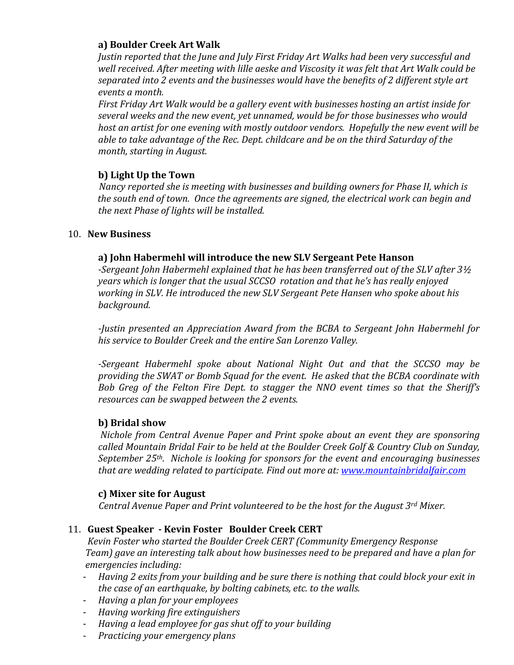# **a) Boulder Creek Art Walk**

*Justin reported that the June and July First Friday Art Walks had been very successful and well received. After meeting with lille aeske and Viscosity it was felt that Art Walk could be separated into 2 events and the businesses would have the benefits of 2 different style art events a month.* 

*First Friday Art Walk would be a gallery event with businesses hosting an artist inside for several weeks and the new event, yet unnamed, would be for those businesses who would host an artist for one evening with mostly outdoor vendors. Hopefully the new event will be able to take advantage of the Rec. Dept. childcare and be on the third Saturday of the month, starting in August.*

# **b) Light Up the Town**

 *Nancy reported she is meeting with businesses and building owners for Phase II, which is the south end of town. Once the agreements are signed, the electrical work can begin and the next Phase of lights will be installed.*

## 10. **New Business**

# **a) John Habermehl will introduce the new SLV Sergeant Pete Hanson**

*-Sergeant John Habermehl explained that he has been transferred out of the SLV after 3½ years which is longer that the usual SCCSO rotation and that he's has really enjoyed working in SLV. He introduced the new SLV Sergeant Pete Hansen who spoke about his background.*

*-Justin presented an Appreciation Award from the BCBA to Sergeant John Habermehl for his service to Boulder Creek and the entire San Lorenzo Valley.* 

*-Sergeant Habermehl spoke about National Night Out and that the SCCSO may be providing the SWAT or Bomb Squad for the event. He asked that the BCBA coordinate with Bob Greg of the Felton Fire Dept. to stagger the NNO event times so that the Sheriff's resources can be swapped between the 2 events.* 

# **b) Bridal show**

*Nichole from Central Avenue Paper and Print spoke about an event they are sponsoring called Mountain Bridal Fair to be held at the Boulder Creek Golf & Country Club on Sunday, September 25th. Nichole is looking for sponsors for the event and encouraging businesses that are wedding related to participate. Find out more at: [www.mountainbridalfair.com](http://www.mountainbridalfair.com/)*

### **c) Mixer site for August**

 *Central Avenue Paper and Print volunteered to be the host for the August 3rd Mixer.*

# 11. **Guest Speaker - Kevin Foster Boulder Creek CERT**

 *Kevin Foster who started the Boulder Creek CERT (Community Emergency Response Team) gave an interesting talk about how businesses need to be prepared and have a plan for emergencies including:*

- *Having 2 exits from your building and be sure there is nothing that could block your exit in the case of an earthquake, by bolting cabinets, etc. to the walls.*
- *Having a plan for your employees*
- *Having working fire extinguishers*
- *Having a lead employee for gas shut off to your building*
- *Practicing your emergency plans*